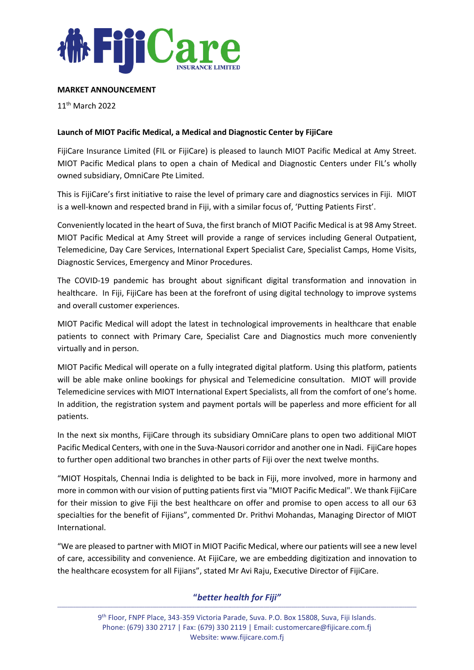

## **MARKET ANNOUNCEMENT**

11th March 2022

## **Launch of MIOT Pacific Medical, a Medical and Diagnostic Center by FijiCare**

FijiCare Insurance Limited (FIL or FijiCare) is pleased to launch MIOT Pacific Medical at Amy Street. MIOT Pacific Medical plans to open a chain of Medical and Diagnostic Centers under FIL's wholly owned subsidiary, OmniCare Pte Limited.

This is FijiCare's first initiative to raise the level of primary care and diagnostics services in Fiji. MIOT is a well-known and respected brand in Fiji, with a similar focus of, 'Putting Patients First'.

Conveniently located in the heart of Suva, the first branch of MIOT Pacific Medical is at 98 Amy Street. MIOT Pacific Medical at Amy Street will provide a range of services including General Outpatient, Telemedicine, Day Care Services, International Expert Specialist Care, Specialist Camps, Home Visits, Diagnostic Services, Emergency and Minor Procedures.

The COVID-19 pandemic has brought about significant digital transformation and innovation in healthcare. In Fiji, FijiCare has been at the forefront of using digital technology to improve systems and overall customer experiences.

MIOT Pacific Medical will adopt the latest in technological improvements in healthcare that enable patients to connect with Primary Care, Specialist Care and Diagnostics much more conveniently virtually and in person.

MIOT Pacific Medical will operate on a fully integrated digital platform. Using this platform, patients will be able make online bookings for physical and Telemedicine consultation. MIOT will provide Telemedicine services with MIOT International Expert Specialists, all from the comfort of one's home. In addition, the registration system and payment portals will be paperless and more efficient for all patients.

In the next six months, FijiCare through its subsidiary OmniCare plans to open two additional MIOT Pacific Medical Centers, with one in the Suva-Nausori corridor and another one in Nadi. FijiCare hopes to further open additional two branches in other parts of Fiji over the next twelve months.

"MIOT Hospitals, Chennai India is delighted to be back in Fiji, more involved, more in harmony and more in common with our vision of putting patients first via "MIOT Pacific Medical". We thank FijiCare for their mission to give Fiji the best healthcare on offer and promise to open access to all our 63 specialties for the benefit of Fijians", commented Dr. Prithvi Mohandas, Managing Director of MIOT International.

"We are pleased to partner with MIOT in MIOT Pacific Medical, where our patients will see a new level of care, accessibility and convenience. At FijiCare, we are embedding digitization and innovation to the healthcare ecosystem for all Fijians", stated Mr Avi Raju, Executive Director of FijiCare.

## **"***better health for Fiji"* **\_\_\_\_\_\_\_\_\_\_\_\_\_\_\_\_\_\_\_\_\_\_\_\_\_\_\_\_\_\_\_\_\_\_\_\_\_\_\_\_\_\_\_\_\_\_\_\_\_\_\_\_\_\_\_\_\_\_\_\_\_\_\_\_\_\_\_\_\_\_\_\_\_\_\_\_\_\_\_\_\_\_\_\_\_\_\_\_\_\_\_\_\_\_\_\_\_\_\_\_\_\_\_\_\_\_\_\_\_\_\_\_\_\_\_\_\_\_\_\_\_\_\_\_\_\_\_\_\_\_\_\_\_\_\_\_\_\_\_\_\_\_\_\_\_\_\_\_\_\_\_\_\_\_\_\_\_\_\_\_\_\_\_\_\_\_\_\_\_\_\_\_\_\_\_\_\_\_\_\_\_**